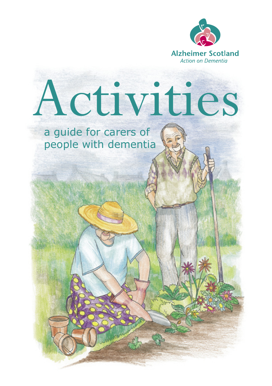

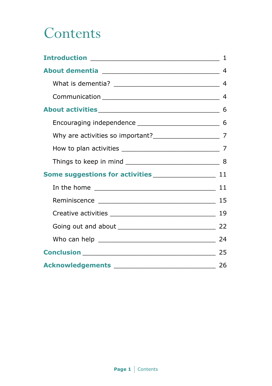## **Contents**

|                                                   | $\mathbf{1}$ |
|---------------------------------------------------|--------------|
|                                                   |              |
|                                                   |              |
|                                                   |              |
|                                                   |              |
|                                                   |              |
|                                                   |              |
|                                                   |              |
|                                                   |              |
|                                                   |              |
|                                                   |              |
|                                                   |              |
|                                                   | 19           |
|                                                   |              |
|                                                   |              |
|                                                   |              |
| Acknowledgements ________________________________ | 26           |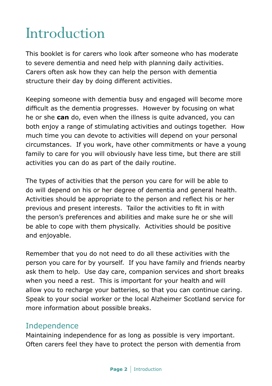## Introduction

This booklet is for carers who look after someone who has moderate to severe dementia and need help with planning daily activities. Carers often ask how they can help the person with dementia structure their day by doing different activities.

Keeping someone with dementia busy and engaged will become more difficult as the dementia progresses. However by focusing on what he or she **can** do, even when the illness is quite advanced, you can both enjoy a range of stimulating activities and outings together. How much time you can devote to activities will depend on your personal circumstances. If you work, have other commitments or have a young family to care for you will obviously have less time, but there are still activities you can do as part of the daily routine.

The types of activities that the person you care for will be able to do will depend on his or her degree of dementia and general health. Activities should be appropriate to the person and reflect his or her previous and present interests. Tailor the activities to fit in with the person's preferences and abilities and make sure he or she will be able to cope with them physically. Activities should be positive and enjoyable.

Remember that you do not need to do all these activities with the person you care for by yourself. If you have family and friends nearby ask them to help. Use day care, companion services and short breaks when you need a rest. This is important for your health and will allow you to recharge your batteries, so that you can continue caring. Speak to your social worker or the local Alzheimer Scotland service for more information about possible breaks.

#### Independence

Maintaining independence for as long as possible is very important. Often carers feel they have to protect the person with dementia from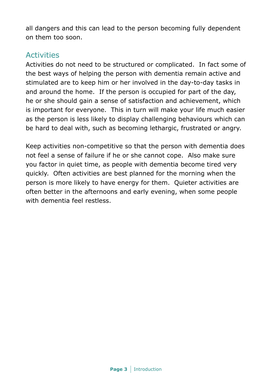all dangers and this can lead to the person becoming fully dependent on them too soon.

#### **Activities**

Activities do not need to be structured or complicated. In fact some of the best ways of helping the person with dementia remain active and stimulated are to keep him or her involved in the day-to-day tasks in and around the home. If the person is occupied for part of the day, he or she should gain a sense of satisfaction and achievement, which is important for everyone. This in turn will make your life much easier as the person is less likely to display challenging behaviours which can be hard to deal with, such as becoming lethargic, frustrated or angry.

Keep activities non-competitive so that the person with dementia does not feel a sense of failure if he or she cannot cope. Also make sure you factor in quiet time, as people with dementia become tired very quickly. Often activities are best planned for the morning when the person is more likely to have energy for them. Quieter activities are often better in the afternoons and early evening, when some people with dementia feel restless.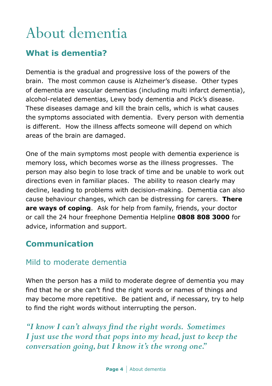# About dementia

## **What is dementia?**

Dementia is the gradual and progressive loss of the powers of the brain. The most common cause is Alzheimer's disease. Other types of dementia are vascular dementias (including multi infarct dementia), alcohol-related dementias, Lewy body dementia and Pick's disease. These diseases damage and kill the brain cells, which is what causes the symptoms associated with dementia. Every person with dementia is different. How the illness affects someone will depend on which areas of the brain are damaged.

One of the main symptoms most people with dementia experience is memory loss, which becomes worse as the illness progresses. The person may also begin to lose track of time and be unable to work out directions even in familiar places. The ability to reason clearly may decline, leading to problems with decision-making. Dementia can also cause behaviour changes, which can be distressing for carers. **There are ways of coping**. Ask for help from family, friends, your doctor or call the 24 hour freephone Dementia Helpline **0808 808 3000** for advice, information and support.

### **Communication**

#### Mild to moderate dementia

When the person has a mild to moderate degree of dementia you may find that he or she can't find the right words or names of things and may become more repetitive. Be patient and, if necessary, try to help to find the right words without interrupting the person.

*"I know I can't always find the right words. Sometimes I just use the word that pops into my head, just to keep the conversation going, but I know it's the wrong one."*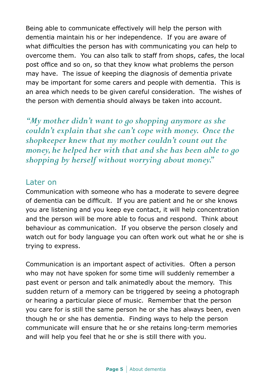Being able to communicate effectively will help the person with dementia maintain his or her independence. If you are aware of what difficulties the person has with communicating you can help to overcome them. You can also talk to staff from shops, cafes, the local post office and so on, so that they know what problems the person may have. The issue of keeping the diagnosis of dementia private may be important for some carers and people with dementia. This is an area which needs to be given careful consideration. The wishes of the person with dementia should always be taken into account.

*"My mother didn't want to go shopping anymore as she couldn't explain that she can't cope with money. Once the shopkeeper knew that my mother couldn't count out the money, he helped her with that and she has been able to go shopping by herself without worrying about money."*

#### Later on

Communication with someone who has a moderate to severe degree of dementia can be difficult. If you are patient and he or she knows you are listening and you keep eye contact, it will help concentration and the person will be more able to focus and respond. Think about behaviour as communication. If you observe the person closely and watch out for body language you can often work out what he or she is trying to express.

Communication is an important aspect of activities. Often a person who may not have spoken for some time will suddenly remember a past event or person and talk animatedly about the memory. This sudden return of a memory can be triggered by seeing a photograph or hearing a particular piece of music. Remember that the person you care for is still the same person he or she has always been, even though he or she has dementia. Finding ways to help the person communicate will ensure that he or she retains long-term memories and will help you feel that he or she is still there with you.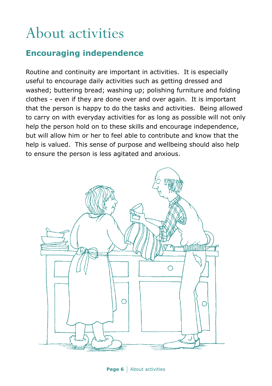## About activities

## **Encouraging independence**

Routine and continuity are important in activities. It is especially useful to encourage daily activities such as getting dressed and washed; buttering bread; washing up; polishing furniture and folding clothes - even if they are done over and over again. It is important that the person is happy to do the tasks and activities. Being allowed to carry on with everyday activities for as long as possible will not only help the person hold on to these skills and encourage independence, but will allow him or her to feel able to contribute and know that the help is valued. This sense of purpose and wellbeing should also help to ensure the person is less agitated and anxious.



**Page 6** About activities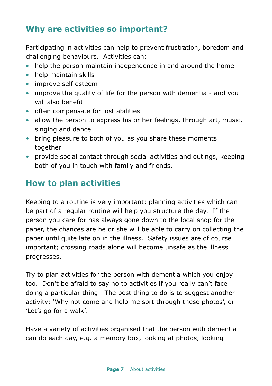## **Why are activities so important?**

Participating in activities can help to prevent frustration, boredom and challenging behaviours. Activities can:

- help the person maintain independence in and around the home
- help maintain skills
- improve self esteem
- improve the quality of life for the person with dementia and you will also benefit
- often compensate for lost abilities
- allow the person to express his or her feelings, through art, music, singing and dance
- bring pleasure to both of you as you share these moments together
- provide social contact through social activities and outings, keeping both of you in touch with family and friends.

### **How to plan activities**

Keeping to a routine is very important: planning activities which can be part of a regular routine will help you structure the day. If the person you care for has always gone down to the local shop for the paper, the chances are he or she will be able to carry on collecting the paper until quite late on in the illness. Safety issues are of course important; crossing roads alone will become unsafe as the illness progresses.

Try to plan activities for the person with dementia which you enjoy too. Don't be afraid to say no to activities if you really can't face doing a particular thing. The best thing to do is to suggest another activity: 'Why not come and help me sort through these photos', or 'Let's go for a walk'.

Have a variety of activities organised that the person with dementia can do each day, e.g. a memory box, looking at photos, looking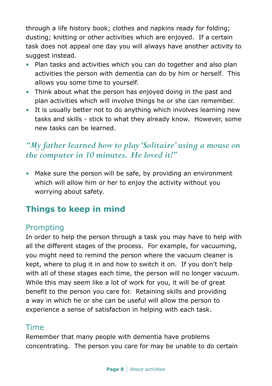through a life history book; clothes and napkins ready for folding; dusting; knitting or other activities which are enjoyed. If a certain task does not appeal one day you will always have another activity to suggest instead.

- Plan tasks and activities which you can do together and also plan activities the person with dementia can do by him or herself. This allows you some time to yourself.
- Think about what the person has enjoyed doing in the past and plan activities which will involve things he or she can remember.
- It is usually better not to do anything which involves learning new tasks and skills - stick to what they already know. However, some new tasks can be learned.

## *"My father learned how to play 'Solitaire' using a mouse on the computer in 10 minutes. He loved it!"*

• Make sure the person will be safe, by providing an environment which will allow him or her to enjoy the activity without you worrying about safety.

## **Things to keep in mind**

### Prompting

In order to help the person through a task you may have to help with all the different stages of the process. For example, for vacuuming, you might need to remind the person where the vacuum cleaner is kept, where to plug it in and how to switch it on. If you don't help with all of these stages each time, the person will no longer vacuum. While this may seem like a lot of work for you, it will be of great benefit to the person you care for. Retaining skills and providing a way in which he or she can be useful will allow the person to experience a sense of satisfaction in helping with each task.

#### Time

Remember that many people with dementia have problems concentrating. The person you care for may be unable to do certain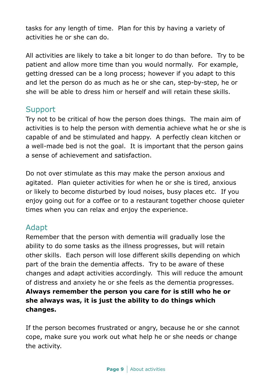tasks for any length of time. Plan for this by having a variety of activities he or she can do.

All activities are likely to take a bit longer to do than before. Try to be patient and allow more time than you would normally. For example, getting dressed can be a long process; however if you adapt to this and let the person do as much as he or she can, step-by-step, he or she will be able to dress him or herself and will retain these skills.

#### Support

Try not to be critical of how the person does things. The main aim of activities is to help the person with dementia achieve what he or she is capable of and be stimulated and happy. A perfectly clean kitchen or a well-made bed is not the goal. It is important that the person gains a sense of achievement and satisfaction.

Do not over stimulate as this may make the person anxious and agitated. Plan quieter activities for when he or she is tired, anxious or likely to become disturbed by loud noises, busy places etc. If you enjoy going out for a coffee or to a restaurant together choose quieter times when you can relax and enjoy the experience.

#### Adapt

Remember that the person with dementia will gradually lose the ability to do some tasks as the illness progresses, but will retain other skills. Each person will lose different skills depending on which part of the brain the dementia affects. Try to be aware of these changes and adapt activities accordingly. This will reduce the amount of distress and anxiety he or she feels as the dementia progresses. **Always remember the person you care for is still who he or she always was, it is just the ability to do things which changes.**

If the person becomes frustrated or angry, because he or she cannot cope, make sure you work out what help he or she needs or change the activity.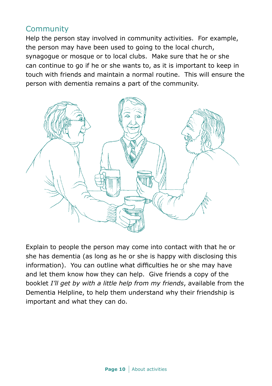#### **Community**

Help the person stay involved in community activities. For example, the person may have been used to going to the local church, synagogue or mosque or to local clubs. Make sure that he or she can continue to go if he or she wants to, as it is important to keep in touch with friends and maintain a normal routine. This will ensure the person with dementia remains a part of the community.



Explain to people the person may come into contact with that he or she has dementia (as long as he or she is happy with disclosing this information). You can outline what difficulties he or she may have and let them know how they can help. Give friends a copy of the booklet *I'll get by with a little help from my friends*, available from the Dementia Helpline, to help them understand why their friendship is important and what they can do.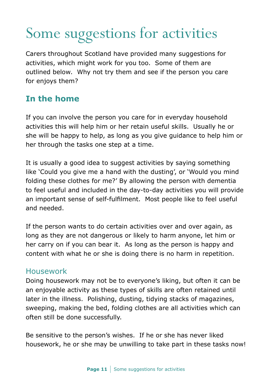# Some suggestions for activities

Carers throughout Scotland have provided many suggestions for activities, which might work for you too. Some of them are outlined below. Why not try them and see if the person you care for enjoys them?

## **In the home**

If you can involve the person you care for in everyday household activities this will help him or her retain useful skills. Usually he or she will be happy to help, as long as you give guidance to help him or her through the tasks one step at a time.

It is usually a good idea to suggest activities by saying something like 'Could you give me a hand with the dusting', or 'Would you mind folding these clothes for me?' By allowing the person with dementia to feel useful and included in the day-to-day activities you will provide an important sense of self-fulfilment. Most people like to feel useful and needed.

If the person wants to do certain activities over and over again, as long as they are not dangerous or likely to harm anyone, let him or her carry on if you can bear it. As long as the person is happy and content with what he or she is doing there is no harm in repetition.

#### Housework

Doing housework may not be to everyone's liking, but often it can be an enjoyable activity as these types of skills are often retained until later in the illness. Polishing, dusting, tidying stacks of magazines, sweeping, making the bed, folding clothes are all activities which can often still be done successfully.

Be sensitive to the person's wishes. If he or she has never liked housework, he or she may be unwilling to take part in these tasks now!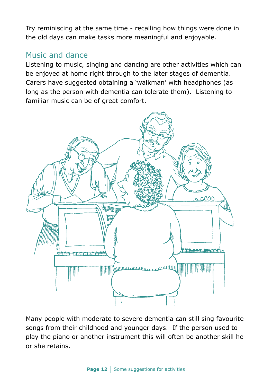Try reminiscing at the same time - recalling how things were done in the old days can make tasks more meaningful and enjoyable.

#### Music and dance

Listening to music, singing and dancing are other activities which can be enjoyed at home right through to the later stages of dementia. Carers have suggested obtaining a 'walkman' with headphones (as long as the person with dementia can tolerate them). Listening to familiar music can be of great comfort.



Many people with moderate to severe dementia can still sing favourite songs from their childhood and younger days. If the person used to play the piano or another instrument this will often be another skill he or she retains.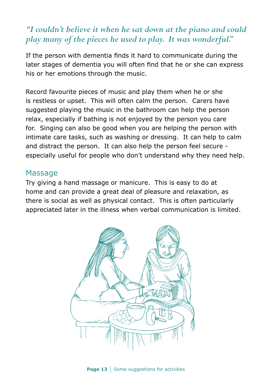## *"I couldn't believe it when he sat down at the piano and could play many of the pieces he used to play. It was wonderful."*

If the person with dementia finds it hard to communicate during the later stages of dementia you will often find that he or she can express his or her emotions through the music.

Record favourite pieces of music and play them when he or she is restless or upset. This will often calm the person. Carers have suggested playing the music in the bathroom can help the person relax, especially if bathing is not enjoyed by the person you care for. Singing can also be good when you are helping the person with intimate care tasks, such as washing or dressing. It can help to calm and distract the person. It can also help the person feel secure especially useful for people who don't understand why they need help.

#### Massage

Try giving a hand massage or manicure. This is easy to do at home and can provide a great deal of pleasure and relaxation, as there is social as well as physical contact. This is often particularly appreciated later in the illness when verbal communication is limited.

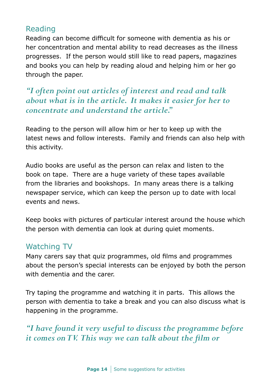#### Reading

Reading can become difficult for someone with dementia as his or her concentration and mental ability to read decreases as the illness progresses. If the person would still like to read papers, magazines and books you can help by reading aloud and helping him or her go through the paper.

*"I often point out articles of interest and read and talk about what is in the article. It makes it easier for her to concentrate and understand the article."* 

Reading to the person will allow him or her to keep up with the latest news and follow interests. Family and friends can also help with this activity.

Audio books are useful as the person can relax and listen to the book on tape. There are a huge variety of these tapes available from the libraries and bookshops. In many areas there is a talking newspaper service, which can keep the person up to date with local events and news.

Keep books with pictures of particular interest around the house which the person with dementia can look at during quiet moments.

### Watching TV

Many carers say that quiz programmes, old films and programmes about the person's special interests can be enjoyed by both the person with dementia and the carer.

Try taping the programme and watching it in parts. This allows the person with dementia to take a break and you can also discuss what is happening in the programme.

*"I have found it very useful to discuss the programme before it comes on TV. This way we can talk about the film or*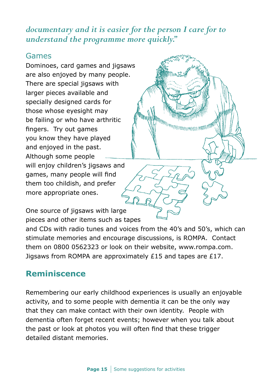## *documentary and it is easier for the person I care for to understand the programme more quickly."*

#### Games

Dominoes, card games and jigsaws are also enjoyed by many people. There are special jigsaws with larger pieces available and specially designed cards for those whose eyesight may be failing or who have arthritic fingers. Try out games you know they have played and enjoyed in the past. Although some people will enjoy children's jigsaws and games, many people will find them too childish, and prefer more appropriate ones.

One source of jigsaws with large pieces and other items such as tapes

and CDs with radio tunes and voices from the 40's and 50's, which can stimulate memories and encourage discussions, is ROMPA. Contact them on 0800 0562323 or look on their website, www.rompa.com. Jigsaws from ROMPA are approximately £15 and tapes are £17.

<sup>N http://www.community.com/1999</sup>

## **Reminiscence**

Remembering our early childhood experiences is usually an enjoyable activity, and to some people with dementia it can be the only way that they can make contact with their own identity. People with dementia often forget recent events; however when you talk about the past or look at photos you will often find that these trigger detailed distant memories.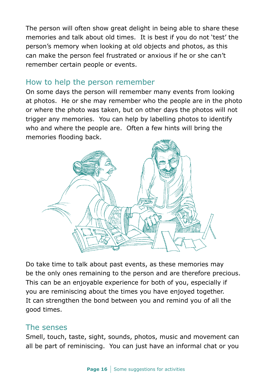The person will often show great delight in being able to share these memories and talk about old times. It is best if you do not 'test' the person's memory when looking at old objects and photos, as this can make the person feel frustrated or anxious if he or she can't remember certain people or events.

#### How to help the person remember

On some days the person will remember many events from looking at photos. He or she may remember who the people are in the photo or where the photo was taken, but on other days the photos will not trigger any memories. You can help by labelling photos to identify who and where the people are. Often a few hints will bring the memories flooding back.



Do take time to talk about past events, as these memories may be the only ones remaining to the person and are therefore precious. This can be an enjoyable experience for both of you, especially if you are reminiscing about the times you have enjoyed together. It can strengthen the bond between you and remind you of all the good times.

#### The senses

Smell, touch, taste, sight, sounds, photos, music and movement can all be part of reminiscing. You can just have an informal chat or you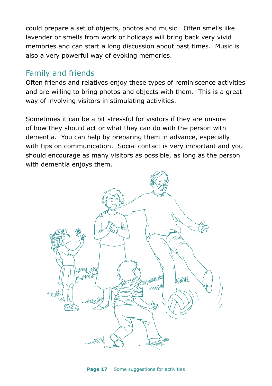could prepare a set of objects, photos and music. Often smells like lavender or smells from work or holidays will bring back very vivid memories and can start a long discussion about past times. Music is also a very powerful way of evoking memories.

#### Family and friends

Often friends and relatives enjoy these types of reminiscence activities and are willing to bring photos and objects with them. This is a great way of involving visitors in stimulating activities.

Sometimes it can be a bit stressful for visitors if they are unsure of how they should act or what they can do with the person with dementia. You can help by preparing them in advance, especially with tips on communication. Social contact is very important and you should encourage as many visitors as possible, as long as the person with dementia enjoys them.

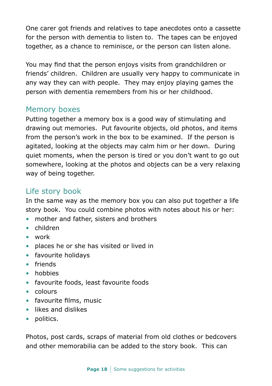One carer got friends and relatives to tape anecdotes onto a cassette for the person with dementia to listen to. The tapes can be enjoyed together, as a chance to reminisce, or the person can listen alone.

You may find that the person enjoys visits from grandchildren or friends' children. Children are usually very happy to communicate in any way they can with people. They may enjoy playing games the person with dementia remembers from his or her childhood.

#### Memory boxes

Putting together a memory box is a good way of stimulating and drawing out memories. Put favourite objects, old photos, and items from the person's work in the box to be examined. If the person is agitated, looking at the objects may calm him or her down. During quiet moments, when the person is tired or you don't want to go out somewhere, looking at the photos and objects can be a very relaxing way of being together.

#### Life story book

In the same way as the memory box you can also put together a life story book. You could combine photos with notes about his or her:

- mother and father, sisters and brothers
- children
- work
- places he or she has visited or lived in
- favourite holidays
- friends
- hobbies
- favourite foods, least favourite foods
- colours
- favourite films, music
- likes and dislikes
- politics.

Photos, post cards, scraps of material from old clothes or bedcovers and other memorabilia can be added to the story book. This can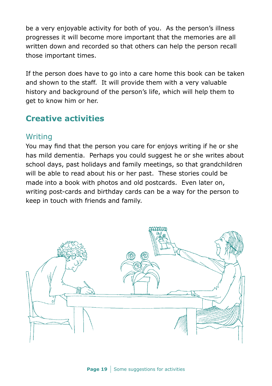be a very enjoyable activity for both of you. As the person's illness progresses it will become more important that the memories are all written down and recorded so that others can help the person recall those important times.

If the person does have to go into a care home this book can be taken and shown to the staff. It will provide them with a very valuable history and background of the person's life, which will help them to get to know him or her.

## **Creative activities**

#### Writing

You may find that the person you care for enjoys writing if he or she has mild dementia. Perhaps you could suggest he or she writes about school days, past holidays and family meetings, so that grandchildren will be able to read about his or her past. These stories could be made into a book with photos and old postcards. Even later on, writing post-cards and birthday cards can be a way for the person to keep in touch with friends and family.

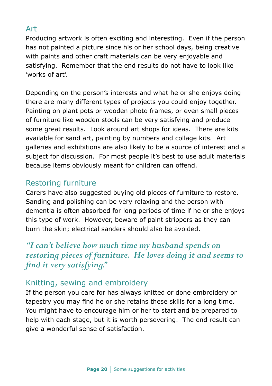#### Art

Producing artwork is often exciting and interesting. Even if the person has not painted a picture since his or her school days, being creative with paints and other craft materials can be very enjoyable and satisfying. Remember that the end results do not have to look like 'works of art'.

Depending on the person's interests and what he or she enjoys doing there are many different types of projects you could enjoy together. Painting on plant pots or wooden photo frames, or even small pieces of furniture like wooden stools can be very satisfying and produce some great results. Look around art shops for ideas. There are kits available for sand art, painting by numbers and collage kits. Art galleries and exhibitions are also likely to be a source of interest and a subject for discussion. For most people it's best to use adult materials because items obviously meant for children can offend.

#### Restoring furniture

Carers have also suggested buying old pieces of furniture to restore. Sanding and polishing can be very relaxing and the person with dementia is often absorbed for long periods of time if he or she enjoys this type of work. However, beware of paint strippers as they can burn the skin; electrical sanders should also be avoided.

## *"I can't believe how much time my husband spends on restoring pieces of furniture. He loves doing it and seems to find it very satisfying."*

#### Knitting, sewing and embroidery

If the person you care for has always knitted or done embroidery or tapestry you may find he or she retains these skills for a long time. You might have to encourage him or her to start and be prepared to help with each stage, but it is worth persevering. The end result can give a wonderful sense of satisfaction.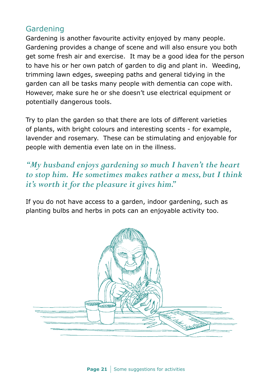#### Gardening

Gardening is another favourite activity enjoyed by many people. Gardening provides a change of scene and will also ensure you both get some fresh air and exercise. It may be a good idea for the person to have his or her own patch of garden to dig and plant in. Weeding, trimming lawn edges, sweeping paths and general tidying in the garden can all be tasks many people with dementia can cope with. However, make sure he or she doesn't use electrical equipment or potentially dangerous tools.

Try to plan the garden so that there are lots of different varieties of plants, with bright colours and interesting scents - for example, lavender and rosemary. These can be stimulating and enjoyable for people with dementia even late on in the illness.

*"My husband enjoys gardening so much I haven't the heart to stop him. He sometimes makes rather a mess, but I think it's worth it for the pleasure it gives him."*

If you do not have access to a garden, indoor gardening, such as planting bulbs and herbs in pots can an enjoyable activity too.

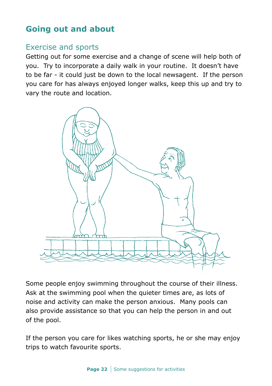## **Going out and about**

#### Exercise and sports

Getting out for some exercise and a change of scene will help both of you. Try to incorporate a daily walk in your routine. It doesn't have to be far - it could just be down to the local newsagent. If the person you care for has always enjoyed longer walks, keep this up and try to vary the route and location.



Some people enjoy swimming throughout the course of their illness. Ask at the swimming pool when the quieter times are, as lots of noise and activity can make the person anxious. Many pools can also provide assistance so that you can help the person in and out of the pool.

If the person you care for likes watching sports, he or she may enjoy trips to watch favourite sports.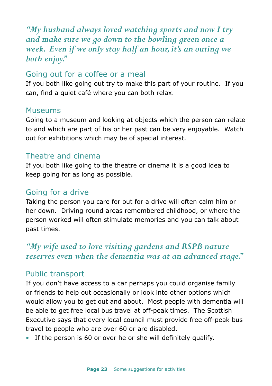*"My husband always loved watching sports and now I try and make sure we go down to the bowling green once a week. Even if we only stay half an hour, it's an outing we both enjoy."*

#### Going out for a coffee or a meal

If you both like going out try to make this part of your routine. If you can, find a quiet café where you can both relax.

#### Museums

Going to a museum and looking at objects which the person can relate to and which are part of his or her past can be very enjoyable. Watch out for exhibitions which may be of special interest.

#### Theatre and cinema

If you both like going to the theatre or cinema it is a good idea to keep going for as long as possible.

#### Going for a drive

Taking the person you care for out for a drive will often calm him or her down. Driving round areas remembered childhood, or where the person worked will often stimulate memories and you can talk about past times.

#### *"My wife used to love visiting gardens and RSPB nature reserves even when the dementia was at an advanced stage."*

#### Public transport

If you don't have access to a car perhaps you could organise family or friends to help out occasionally or look into other options which would allow you to get out and about. Most people with dementia will be able to get free local bus travel at off-peak times. The Scottish Executive says that every local council must provide free off-peak bus travel to people who are over 60 or are disabled.

• If the person is 60 or over he or she will definitely qualify.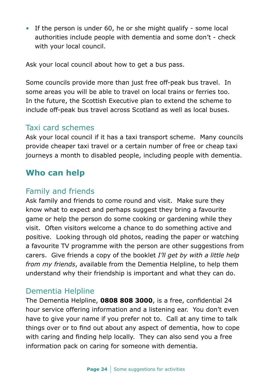• If the person is under 60, he or she might qualify - some local authorities include people with dementia and some don't - check with your local council.

Ask your local council about how to get a bus pass.

Some councils provide more than just free off-peak bus travel. In some areas you will be able to travel on local trains or ferries too. In the future, the Scottish Executive plan to extend the scheme to include off-peak bus travel across Scotland as well as local buses.

#### Taxi card schemes

Ask your local council if it has a taxi transport scheme. Many councils provide cheaper taxi travel or a certain number of free or cheap taxi journeys a month to disabled people, including people with dementia.

#### **Who can help**

#### Family and friends

Ask family and friends to come round and visit. Make sure they know what to expect and perhaps suggest they bring a favourite game or help the person do some cooking or gardening while they visit. Often visitors welcome a chance to do something active and positive. Looking through old photos, reading the paper or watching a favourite TV programme with the person are other suggestions from carers. Give friends a copy of the booklet *I'll get by with a little help from my friends*, available from the Dementia Helpline, to help them understand why their friendship is important and what they can do.

#### Dementia Helpline

The Dementia Helpline, **0808 808 3000**, is a free, confidential 24 hour service offering information and a listening ear. You don't even have to give your name if you prefer not to. Call at any time to talk things over or to find out about any aspect of dementia, how to cope with caring and finding help locally. They can also send you a free information pack on caring for someone with dementia.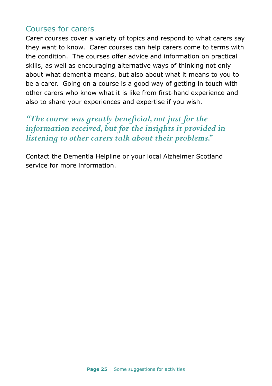#### Courses for carers

Carer courses cover a variety of topics and respond to what carers say they want to know. Carer courses can help carers come to terms with the condition. The courses offer advice and information on practical skills, as well as encouraging alternative ways of thinking not only about what dementia means, but also about what it means to you to be a carer. Going on a course is a good way of getting in touch with other carers who know what it is like from first-hand experience and also to share your experiences and expertise if you wish.

*"The course was greatly beneficial, not just for the information received, but for the insights it provided in listening to other carers talk about their problems."*

Contact the Dementia Helpline or your local Alzheimer Scotland service for more information.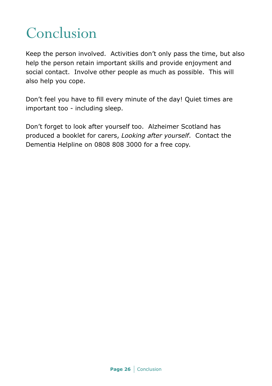## Conclusion

Keep the person involved. Activities don't only pass the time, but also help the person retain important skills and provide enjoyment and social contact. Involve other people as much as possible. This will also help you cope.

Don't feel you have to fill every minute of the day! Quiet times are important too - including sleep.

Don't forget to look after yourself too. Alzheimer Scotland has produced a booklet for carers, *Looking after yourself*. Contact the Dementia Helpline on 0808 808 3000 for a free copy.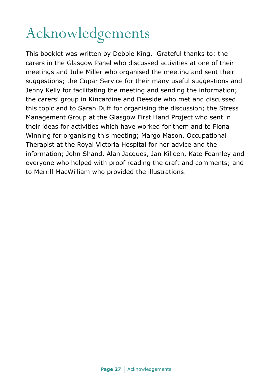# Acknowledgements

This booklet was written by Debbie King. Grateful thanks to: the carers in the Glasgow Panel who discussed activities at one of their meetings and Julie Miller who organised the meeting and sent their suggestions; the Cupar Service for their many useful suggestions and Jenny Kelly for facilitating the meeting and sending the information; the carers' group in Kincardine and Deeside who met and discussed this topic and to Sarah Duff for organising the discussion; the Stress Management Group at the Glasgow First Hand Project who sent in their ideas for activities which have worked for them and to Fiona Winning for organising this meeting; Margo Mason, Occupational Therapist at the Royal Victoria Hospital for her advice and the information; John Shand, Alan Jacques, Jan Killeen, Kate Fearnley and everyone who helped with proof reading the draft and comments; and to Merrill MacWilliam who provided the illustrations.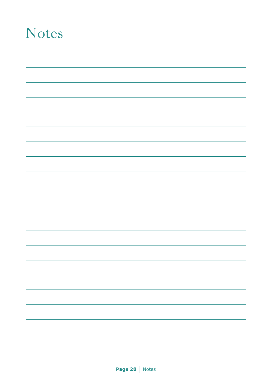## Notes